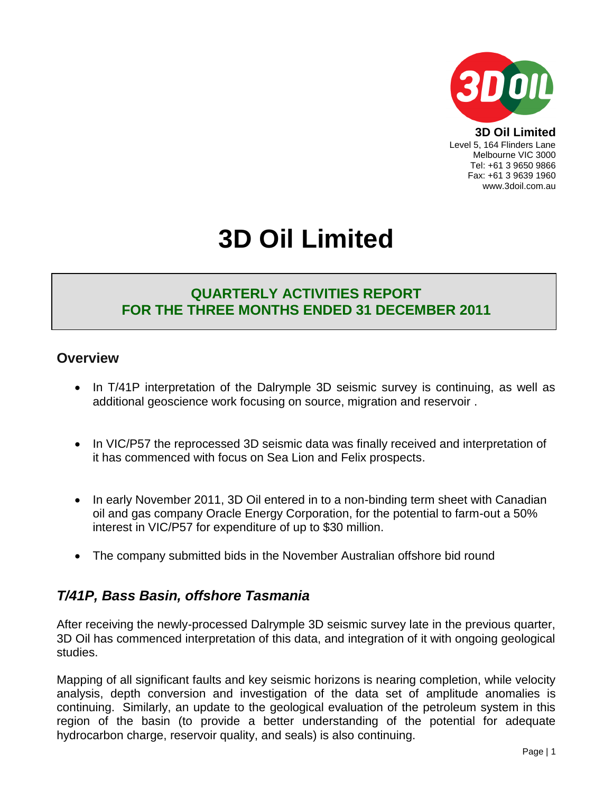

**3D Oil Limited** Level 5, 164 Flinders Lane Melbourne VIC 3000 Tel: +61 3 9650 9866 Fax: +61 3 9639 1960 www.3doil.com.au

# **3D Oil Limited**

# **QUARTERLY ACTIVITIES REPORT FOR THE THREE MONTHS ENDED 31 DECEMBER 2011**

## **Overview**

- In T/41P interpretation of the Dalrymple 3D seismic survey is continuing, as well as additional geoscience work focusing on source, migration and reservoir .
- In VIC/P57 the reprocessed 3D seismic data was finally received and interpretation of it has commenced with focus on Sea Lion and Felix prospects.
- In early November 2011, 3D Oil entered in to a non-binding term sheet with Canadian oil and gas company Oracle Energy Corporation, for the potential to farm-out a 50% interest in VIC/P57 for expenditure of up to \$30 million.
- The company submitted bids in the November Australian offshore bid round

# *T/41P, Bass Basin, offshore Tasmania*

After receiving the newly-processed Dalrymple 3D seismic survey late in the previous quarter, 3D Oil has commenced interpretation of this data, and integration of it with ongoing geological studies.

Mapping of all significant faults and key seismic horizons is nearing completion, while velocity analysis, depth conversion and investigation of the data set of amplitude anomalies is continuing. Similarly, an update to the geological evaluation of the petroleum system in this region of the basin (to provide a better understanding of the potential for adequate hydrocarbon charge, reservoir quality, and seals) is also continuing.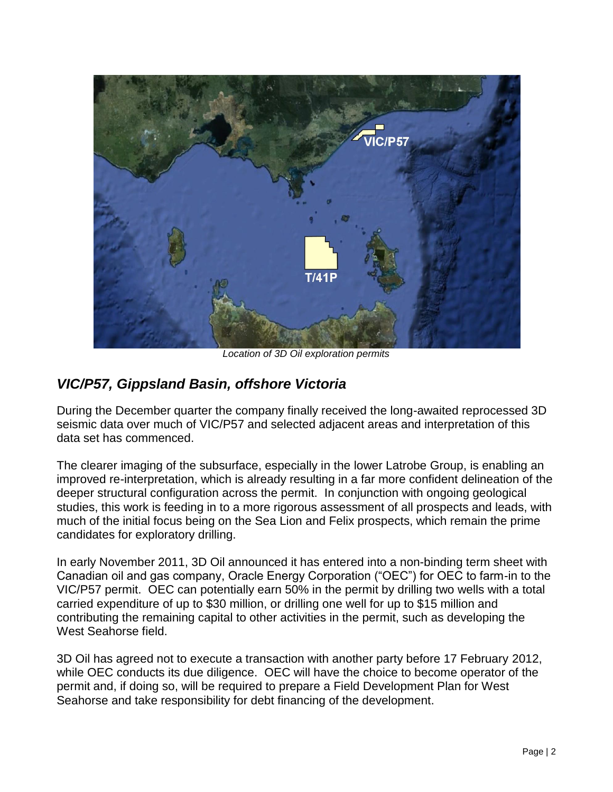

*Location of 3D Oil exploration permits*

# *VIC/P57, Gippsland Basin, offshore Victoria*

During the December quarter the company finally received the long-awaited reprocessed 3D seismic data over much of VIC/P57 and selected adjacent areas and interpretation of this data set has commenced.

The clearer imaging of the subsurface, especially in the lower Latrobe Group, is enabling an improved re-interpretation, which is already resulting in a far more confident delineation of the deeper structural configuration across the permit. In conjunction with ongoing geological studies, this work is feeding in to a more rigorous assessment of all prospects and leads, with much of the initial focus being on the Sea Lion and Felix prospects, which remain the prime candidates for exploratory drilling.

In early November 2011, 3D Oil announced it has entered into a non-binding term sheet with Canadian oil and gas company, Oracle Energy Corporation ("OEC") for OEC to farm-in to the VIC/P57 permit. OEC can potentially earn 50% in the permit by drilling two wells with a total carried expenditure of up to \$30 million, or drilling one well for up to \$15 million and contributing the remaining capital to other activities in the permit, such as developing the West Seahorse field.

3D Oil has agreed not to execute a transaction with another party before 17 February 2012, while OEC conducts its due diligence. OEC will have the choice to become operator of the permit and, if doing so, will be required to prepare a Field Development Plan for West Seahorse and take responsibility for debt financing of the development.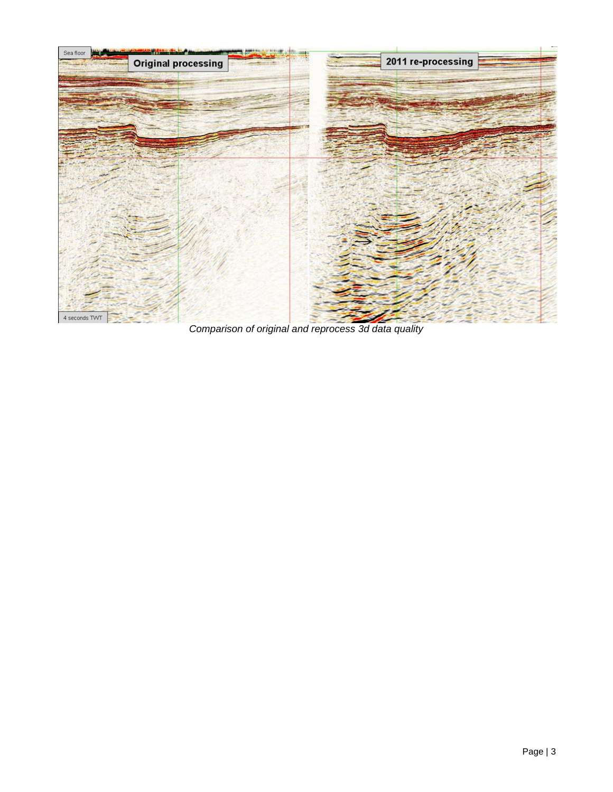

*Comparison of original and reprocess 3d data quality*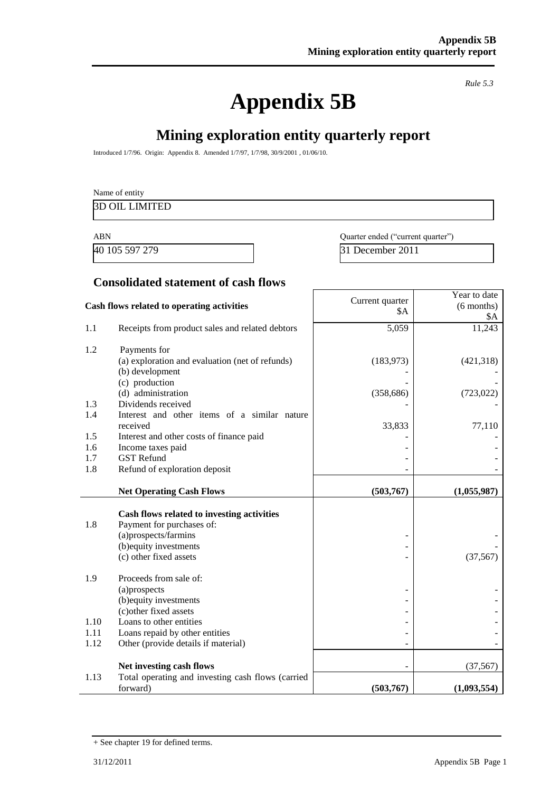# **Appendix 5B**

*Rule 5.3*

# **Mining exploration entity quarterly report**

Introduced 1/7/96. Origin: Appendix 8. Amended 1/7/97, 1/7/98, 30/9/2001 , 01/06/10.

| Name of entity        |  |  |
|-----------------------|--|--|
| <b>3D OIL LIMITED</b> |  |  |
|                       |  |  |

40 105 597 279 31 December 2011

ABN Quarter ended ("current quarter")

**Consolidated statement of cash flows**

| Cash flows related to operating activities |                                                                    | Current quarter<br>\$A | Year to date<br>$(6$ months)<br>\$Α |
|--------------------------------------------|--------------------------------------------------------------------|------------------------|-------------------------------------|
| 1.1                                        | Receipts from product sales and related debtors                    | 5,059                  | 11,243                              |
| 1.2                                        | Payments for                                                       |                        |                                     |
|                                            | (a) exploration and evaluation (net of refunds)<br>(b) development | (183, 973)             | (421,318)                           |
|                                            | (c) production                                                     |                        |                                     |
|                                            | (d) administration                                                 | (358, 686)             | (723, 022)                          |
| 1.3<br>1.4                                 | Dividends received<br>Interest and other items of a similar nature |                        |                                     |
|                                            | received                                                           | 33,833                 | 77,110                              |
| 1.5                                        | Interest and other costs of finance paid                           |                        |                                     |
| 1.6                                        | Income taxes paid                                                  |                        |                                     |
| 1.7<br>1.8                                 | <b>GST Refund</b><br>Refund of exploration deposit                 |                        |                                     |
|                                            |                                                                    |                        |                                     |
|                                            | <b>Net Operating Cash Flows</b>                                    | (503, 767)             | (1,055,987)                         |
|                                            | Cash flows related to investing activities                         |                        |                                     |
| 1.8                                        | Payment for purchases of:                                          |                        |                                     |
|                                            | (a)prospects/farmins                                               |                        |                                     |
|                                            | (b) equity investments<br>(c) other fixed assets                   |                        | (37, 567)                           |
|                                            |                                                                    |                        |                                     |
| 1.9                                        | Proceeds from sale of:                                             |                        |                                     |
|                                            | (a)prospects                                                       |                        |                                     |
|                                            | (b) equity investments<br>(c) other fixed assets                   |                        |                                     |
| 1.10                                       | Loans to other entities                                            |                        |                                     |
| 1.11                                       | Loans repaid by other entities                                     |                        |                                     |
| 1.12                                       | Other (provide details if material)                                |                        |                                     |
|                                            | Net investing cash flows                                           |                        | (37, 567)                           |
| 1.13                                       | Total operating and investing cash flows (carried                  |                        |                                     |
|                                            | forward)                                                           | (503,767)              | (1,093,554)                         |

<sup>+</sup> See chapter 19 for defined terms.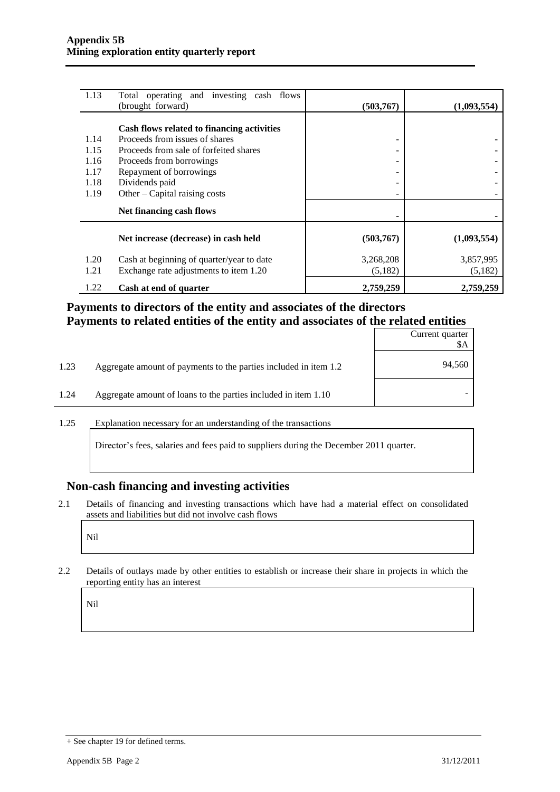| 1.13 | Total operating and investing cash flows   |            |             |
|------|--------------------------------------------|------------|-------------|
|      | (brought forward)                          | (503, 767) | (1,093,554) |
|      | Cash flows related to financing activities |            |             |
| 1.14 | Proceeds from issues of shares             | -          |             |
| 1.15 | Proceeds from sale of forfeited shares     |            |             |
| 1.16 | Proceeds from borrowings                   |            |             |
| 1.17 | Repayment of borrowings                    |            |             |
| 1.18 | Dividends paid                             | ۰          |             |
| 1.19 | Other – Capital raising costs              | -          |             |
|      | Net financing cash flows                   |            |             |
|      | Net increase (decrease) in cash held       | (503,767)  | (1,093,554) |
| 1.20 | Cash at beginning of quarter/year to date  | 3,268,208  | 3,857,995   |
| 1.21 | Exchange rate adjustments to item 1.20     | (5,182)    | (5,182)     |
| 1.22 | Cash at end of quarter                     | 2,759,259  | 2,759,259   |

### **Payments to directors of the entity and associates of the directors Payments to related entities of the entity and associates of the related entities**

|      |                                                                  | Current quarter<br>\$Α |
|------|------------------------------------------------------------------|------------------------|
| 1.23 | Aggregate amount of payments to the parties included in item 1.2 | 94,560                 |
| 1.24 | Aggregate amount of loans to the parties included in item 1.10   |                        |

1.25 Explanation necessary for an understanding of the transactions

Director's fees, salaries and fees paid to suppliers during the December 2011 quarter.

#### **Non-cash financing and investing activities**

2.1 Details of financing and investing transactions which have had a material effect on consolidated assets and liabilities but did not involve cash flows

Nil

2.2 Details of outlays made by other entities to establish or increase their share in projects in which the reporting entity has an interest

Nil

<sup>+</sup> See chapter 19 for defined terms.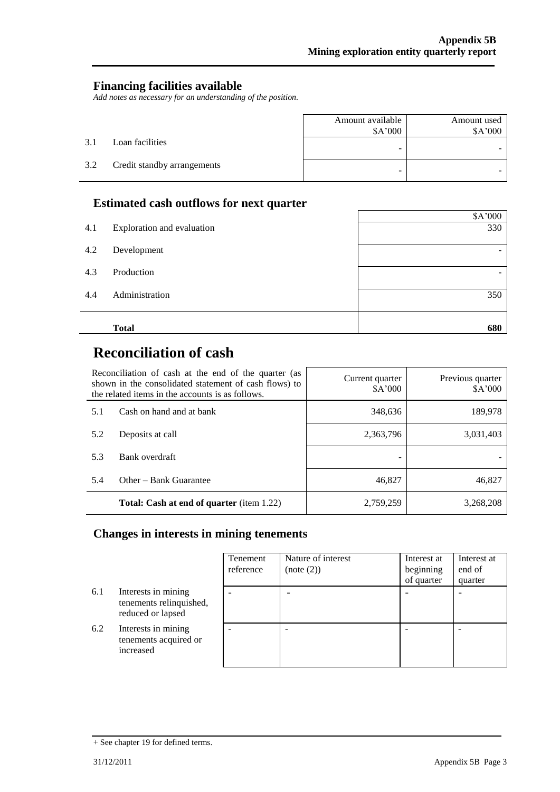### **Financing facilities available**

*Add notes as necessary for an understanding of the position.*

|     |                             | Amount available<br>\$A'000 | Amount used<br>\$A'000 |
|-----|-----------------------------|-----------------------------|------------------------|
| 3.1 | Loan facilities             | -                           |                        |
| 3.2 | Credit standby arrangements | -                           |                        |

## **Estimated cash outflows for next quarter**

|                       |                            | \$A'000 |
|-----------------------|----------------------------|---------|
| 4.1                   | Exploration and evaluation | 330     |
| 4.2<br>Development    |                            |         |
| 4.3<br>Production     |                            |         |
| 4.4<br>Administration |                            | 350     |
| <b>Total</b>          |                            | 680     |

 $\mathsf{r}$ 

# **Reconciliation of cash**

| Reconciliation of cash at the end of the quarter (as<br>shown in the consolidated statement of cash flows) to<br>the related items in the accounts is as follows. |                                                  | Current quarter<br>\$A'000 | Previous quarter<br>\$A'000 |
|-------------------------------------------------------------------------------------------------------------------------------------------------------------------|--------------------------------------------------|----------------------------|-----------------------------|
| 5.1                                                                                                                                                               | Cash on hand and at bank                         | 348,636                    | 189,978                     |
| 5.2                                                                                                                                                               | Deposits at call                                 | 2,363,796                  | 3,031,403                   |
| 5.3                                                                                                                                                               | Bank overdraft                                   |                            |                             |
| 5.4                                                                                                                                                               | Other – Bank Guarantee                           | 46,827                     | 46,827                      |
|                                                                                                                                                                   | <b>Total: Cash at end of quarter</b> (item 1.22) | 2,759,259                  | 3.268.208                   |

# **Changes in interests in mining tenements**

|     |                                                                     | Tenement<br>reference | Nature of interest<br>(note (2)) | Interest at<br>beginning<br>of quarter | Interest at<br>end of<br>quarter |
|-----|---------------------------------------------------------------------|-----------------------|----------------------------------|----------------------------------------|----------------------------------|
| 6.1 | Interests in mining<br>tenements relinquished,<br>reduced or lapsed |                       |                                  |                                        |                                  |
| 6.2 | Interests in mining<br>tenements acquired or<br>increased           |                       |                                  |                                        |                                  |

<sup>+</sup> See chapter 19 for defined terms.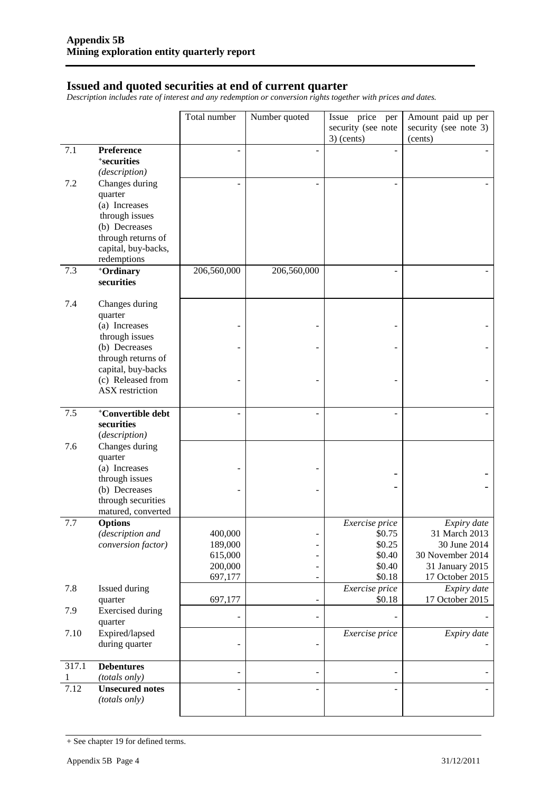#### **Issued and quoted securities at end of current quarter**

*Description includes rate of interest and any redemption or conversion rights together with prices and dates.*

| security (see note<br>security (see note 3)<br>$3)$ (cents)<br>(cents)<br>7.1<br>Preference<br><sup>+</sup> securities<br>(description)<br>7.2<br>Changes during<br>quarter<br>(a) Increases<br>through issues<br>(b) Decreases<br>through returns of<br>capital, buy-backs,<br>redemptions<br>7.3<br>206,560,000<br>206,560,000<br>+Ordinary<br>securities<br>7.4<br>Changes during<br>quarter<br>(a) Increases<br>through issues<br>(b) Decreases<br>through returns of<br>capital, buy-backs<br>(c) Released from<br><b>ASX</b> restriction<br><sup>+</sup> Convertible debt<br>7.5<br>securities<br>(description)<br>7.6<br>Changes during<br>quarter<br>(a) Increases<br>through issues<br>(b) Decreases<br>through securities<br>matured, converted<br>7.7<br><b>Options</b><br>Exercise price<br>Expiry date<br>(description and<br>400,000<br>\$0.75<br>31 March 2013<br>$\overline{\phantom{0}}$<br>189,000<br>\$0.25<br>30 June 2014<br>conversion factor)<br>30 November 2014<br>615,000<br>\$0.40<br>200,000<br>\$0.40<br>31 January 2015<br>$\overline{\phantom{a}}$<br>\$0.18<br>697,177<br>17 October 2015<br>$\overline{\phantom{m}}$<br>Expiry date<br>7.8<br>Exercise price<br>Issued during<br>17 October 2015<br>\$0.18<br>697,177<br>quarter<br>$\overline{\phantom{m}}$<br>7.9<br><b>Exercised</b> during<br>$\overline{\phantom{m}}$<br>quarter<br>Expired/lapsed<br>7.10<br>Exercise price<br>Expiry date<br>during quarter<br>$\overline{\phantom{0}}$<br>317.1<br><b>Debentures</b><br>$\qquad \qquad \blacksquare$<br>(totals only)<br>1<br>7.12<br><b>Unsecured notes</b><br>$\overline{\phantom{a}}$ |  | Total number | Number quoted | Issue price per | Amount paid up per |
|-----------------------------------------------------------------------------------------------------------------------------------------------------------------------------------------------------------------------------------------------------------------------------------------------------------------------------------------------------------------------------------------------------------------------------------------------------------------------------------------------------------------------------------------------------------------------------------------------------------------------------------------------------------------------------------------------------------------------------------------------------------------------------------------------------------------------------------------------------------------------------------------------------------------------------------------------------------------------------------------------------------------------------------------------------------------------------------------------------------------------------------------------------------------------------------------------------------------------------------------------------------------------------------------------------------------------------------------------------------------------------------------------------------------------------------------------------------------------------------------------------------------------------------------------------------------------------------------------------------------------------------|--|--------------|---------------|-----------------|--------------------|
|                                                                                                                                                                                                                                                                                                                                                                                                                                                                                                                                                                                                                                                                                                                                                                                                                                                                                                                                                                                                                                                                                                                                                                                                                                                                                                                                                                                                                                                                                                                                                                                                                                   |  |              |               |                 |                    |
|                                                                                                                                                                                                                                                                                                                                                                                                                                                                                                                                                                                                                                                                                                                                                                                                                                                                                                                                                                                                                                                                                                                                                                                                                                                                                                                                                                                                                                                                                                                                                                                                                                   |  |              |               |                 |                    |
|                                                                                                                                                                                                                                                                                                                                                                                                                                                                                                                                                                                                                                                                                                                                                                                                                                                                                                                                                                                                                                                                                                                                                                                                                                                                                                                                                                                                                                                                                                                                                                                                                                   |  |              |               |                 |                    |
|                                                                                                                                                                                                                                                                                                                                                                                                                                                                                                                                                                                                                                                                                                                                                                                                                                                                                                                                                                                                                                                                                                                                                                                                                                                                                                                                                                                                                                                                                                                                                                                                                                   |  |              |               |                 |                    |
|                                                                                                                                                                                                                                                                                                                                                                                                                                                                                                                                                                                                                                                                                                                                                                                                                                                                                                                                                                                                                                                                                                                                                                                                                                                                                                                                                                                                                                                                                                                                                                                                                                   |  |              |               |                 |                    |
|                                                                                                                                                                                                                                                                                                                                                                                                                                                                                                                                                                                                                                                                                                                                                                                                                                                                                                                                                                                                                                                                                                                                                                                                                                                                                                                                                                                                                                                                                                                                                                                                                                   |  |              |               |                 |                    |
|                                                                                                                                                                                                                                                                                                                                                                                                                                                                                                                                                                                                                                                                                                                                                                                                                                                                                                                                                                                                                                                                                                                                                                                                                                                                                                                                                                                                                                                                                                                                                                                                                                   |  |              |               |                 |                    |
|                                                                                                                                                                                                                                                                                                                                                                                                                                                                                                                                                                                                                                                                                                                                                                                                                                                                                                                                                                                                                                                                                                                                                                                                                                                                                                                                                                                                                                                                                                                                                                                                                                   |  |              |               |                 |                    |
|                                                                                                                                                                                                                                                                                                                                                                                                                                                                                                                                                                                                                                                                                                                                                                                                                                                                                                                                                                                                                                                                                                                                                                                                                                                                                                                                                                                                                                                                                                                                                                                                                                   |  |              |               |                 |                    |
|                                                                                                                                                                                                                                                                                                                                                                                                                                                                                                                                                                                                                                                                                                                                                                                                                                                                                                                                                                                                                                                                                                                                                                                                                                                                                                                                                                                                                                                                                                                                                                                                                                   |  |              |               |                 |                    |
|                                                                                                                                                                                                                                                                                                                                                                                                                                                                                                                                                                                                                                                                                                                                                                                                                                                                                                                                                                                                                                                                                                                                                                                                                                                                                                                                                                                                                                                                                                                                                                                                                                   |  |              |               |                 |                    |
|                                                                                                                                                                                                                                                                                                                                                                                                                                                                                                                                                                                                                                                                                                                                                                                                                                                                                                                                                                                                                                                                                                                                                                                                                                                                                                                                                                                                                                                                                                                                                                                                                                   |  |              |               |                 |                    |
|                                                                                                                                                                                                                                                                                                                                                                                                                                                                                                                                                                                                                                                                                                                                                                                                                                                                                                                                                                                                                                                                                                                                                                                                                                                                                                                                                                                                                                                                                                                                                                                                                                   |  |              |               |                 |                    |
|                                                                                                                                                                                                                                                                                                                                                                                                                                                                                                                                                                                                                                                                                                                                                                                                                                                                                                                                                                                                                                                                                                                                                                                                                                                                                                                                                                                                                                                                                                                                                                                                                                   |  |              |               |                 |                    |
|                                                                                                                                                                                                                                                                                                                                                                                                                                                                                                                                                                                                                                                                                                                                                                                                                                                                                                                                                                                                                                                                                                                                                                                                                                                                                                                                                                                                                                                                                                                                                                                                                                   |  |              |               |                 |                    |
|                                                                                                                                                                                                                                                                                                                                                                                                                                                                                                                                                                                                                                                                                                                                                                                                                                                                                                                                                                                                                                                                                                                                                                                                                                                                                                                                                                                                                                                                                                                                                                                                                                   |  |              |               |                 |                    |
|                                                                                                                                                                                                                                                                                                                                                                                                                                                                                                                                                                                                                                                                                                                                                                                                                                                                                                                                                                                                                                                                                                                                                                                                                                                                                                                                                                                                                                                                                                                                                                                                                                   |  |              |               |                 |                    |
|                                                                                                                                                                                                                                                                                                                                                                                                                                                                                                                                                                                                                                                                                                                                                                                                                                                                                                                                                                                                                                                                                                                                                                                                                                                                                                                                                                                                                                                                                                                                                                                                                                   |  |              |               |                 |                    |
|                                                                                                                                                                                                                                                                                                                                                                                                                                                                                                                                                                                                                                                                                                                                                                                                                                                                                                                                                                                                                                                                                                                                                                                                                                                                                                                                                                                                                                                                                                                                                                                                                                   |  |              |               |                 |                    |
|                                                                                                                                                                                                                                                                                                                                                                                                                                                                                                                                                                                                                                                                                                                                                                                                                                                                                                                                                                                                                                                                                                                                                                                                                                                                                                                                                                                                                                                                                                                                                                                                                                   |  |              |               |                 |                    |
|                                                                                                                                                                                                                                                                                                                                                                                                                                                                                                                                                                                                                                                                                                                                                                                                                                                                                                                                                                                                                                                                                                                                                                                                                                                                                                                                                                                                                                                                                                                                                                                                                                   |  |              |               |                 |                    |
|                                                                                                                                                                                                                                                                                                                                                                                                                                                                                                                                                                                                                                                                                                                                                                                                                                                                                                                                                                                                                                                                                                                                                                                                                                                                                                                                                                                                                                                                                                                                                                                                                                   |  |              |               |                 |                    |
|                                                                                                                                                                                                                                                                                                                                                                                                                                                                                                                                                                                                                                                                                                                                                                                                                                                                                                                                                                                                                                                                                                                                                                                                                                                                                                                                                                                                                                                                                                                                                                                                                                   |  |              |               |                 |                    |
|                                                                                                                                                                                                                                                                                                                                                                                                                                                                                                                                                                                                                                                                                                                                                                                                                                                                                                                                                                                                                                                                                                                                                                                                                                                                                                                                                                                                                                                                                                                                                                                                                                   |  |              |               |                 |                    |
|                                                                                                                                                                                                                                                                                                                                                                                                                                                                                                                                                                                                                                                                                                                                                                                                                                                                                                                                                                                                                                                                                                                                                                                                                                                                                                                                                                                                                                                                                                                                                                                                                                   |  |              |               |                 |                    |
|                                                                                                                                                                                                                                                                                                                                                                                                                                                                                                                                                                                                                                                                                                                                                                                                                                                                                                                                                                                                                                                                                                                                                                                                                                                                                                                                                                                                                                                                                                                                                                                                                                   |  |              |               |                 |                    |
|                                                                                                                                                                                                                                                                                                                                                                                                                                                                                                                                                                                                                                                                                                                                                                                                                                                                                                                                                                                                                                                                                                                                                                                                                                                                                                                                                                                                                                                                                                                                                                                                                                   |  |              |               |                 |                    |
|                                                                                                                                                                                                                                                                                                                                                                                                                                                                                                                                                                                                                                                                                                                                                                                                                                                                                                                                                                                                                                                                                                                                                                                                                                                                                                                                                                                                                                                                                                                                                                                                                                   |  |              |               |                 |                    |
|                                                                                                                                                                                                                                                                                                                                                                                                                                                                                                                                                                                                                                                                                                                                                                                                                                                                                                                                                                                                                                                                                                                                                                                                                                                                                                                                                                                                                                                                                                                                                                                                                                   |  |              |               |                 |                    |
|                                                                                                                                                                                                                                                                                                                                                                                                                                                                                                                                                                                                                                                                                                                                                                                                                                                                                                                                                                                                                                                                                                                                                                                                                                                                                                                                                                                                                                                                                                                                                                                                                                   |  |              |               |                 |                    |
|                                                                                                                                                                                                                                                                                                                                                                                                                                                                                                                                                                                                                                                                                                                                                                                                                                                                                                                                                                                                                                                                                                                                                                                                                                                                                                                                                                                                                                                                                                                                                                                                                                   |  |              |               |                 |                    |
|                                                                                                                                                                                                                                                                                                                                                                                                                                                                                                                                                                                                                                                                                                                                                                                                                                                                                                                                                                                                                                                                                                                                                                                                                                                                                                                                                                                                                                                                                                                                                                                                                                   |  |              |               |                 |                    |
|                                                                                                                                                                                                                                                                                                                                                                                                                                                                                                                                                                                                                                                                                                                                                                                                                                                                                                                                                                                                                                                                                                                                                                                                                                                                                                                                                                                                                                                                                                                                                                                                                                   |  |              |               |                 |                    |
|                                                                                                                                                                                                                                                                                                                                                                                                                                                                                                                                                                                                                                                                                                                                                                                                                                                                                                                                                                                                                                                                                                                                                                                                                                                                                                                                                                                                                                                                                                                                                                                                                                   |  |              |               |                 |                    |
|                                                                                                                                                                                                                                                                                                                                                                                                                                                                                                                                                                                                                                                                                                                                                                                                                                                                                                                                                                                                                                                                                                                                                                                                                                                                                                                                                                                                                                                                                                                                                                                                                                   |  |              |               |                 |                    |
|                                                                                                                                                                                                                                                                                                                                                                                                                                                                                                                                                                                                                                                                                                                                                                                                                                                                                                                                                                                                                                                                                                                                                                                                                                                                                                                                                                                                                                                                                                                                                                                                                                   |  |              |               |                 |                    |
|                                                                                                                                                                                                                                                                                                                                                                                                                                                                                                                                                                                                                                                                                                                                                                                                                                                                                                                                                                                                                                                                                                                                                                                                                                                                                                                                                                                                                                                                                                                                                                                                                                   |  |              |               |                 |                    |
|                                                                                                                                                                                                                                                                                                                                                                                                                                                                                                                                                                                                                                                                                                                                                                                                                                                                                                                                                                                                                                                                                                                                                                                                                                                                                                                                                                                                                                                                                                                                                                                                                                   |  |              |               |                 |                    |
|                                                                                                                                                                                                                                                                                                                                                                                                                                                                                                                                                                                                                                                                                                                                                                                                                                                                                                                                                                                                                                                                                                                                                                                                                                                                                                                                                                                                                                                                                                                                                                                                                                   |  |              |               |                 |                    |
|                                                                                                                                                                                                                                                                                                                                                                                                                                                                                                                                                                                                                                                                                                                                                                                                                                                                                                                                                                                                                                                                                                                                                                                                                                                                                                                                                                                                                                                                                                                                                                                                                                   |  |              |               |                 |                    |
|                                                                                                                                                                                                                                                                                                                                                                                                                                                                                                                                                                                                                                                                                                                                                                                                                                                                                                                                                                                                                                                                                                                                                                                                                                                                                                                                                                                                                                                                                                                                                                                                                                   |  |              |               |                 |                    |
|                                                                                                                                                                                                                                                                                                                                                                                                                                                                                                                                                                                                                                                                                                                                                                                                                                                                                                                                                                                                                                                                                                                                                                                                                                                                                                                                                                                                                                                                                                                                                                                                                                   |  |              |               |                 |                    |
|                                                                                                                                                                                                                                                                                                                                                                                                                                                                                                                                                                                                                                                                                                                                                                                                                                                                                                                                                                                                                                                                                                                                                                                                                                                                                                                                                                                                                                                                                                                                                                                                                                   |  |              |               |                 |                    |
|                                                                                                                                                                                                                                                                                                                                                                                                                                                                                                                                                                                                                                                                                                                                                                                                                                                                                                                                                                                                                                                                                                                                                                                                                                                                                                                                                                                                                                                                                                                                                                                                                                   |  |              |               |                 |                    |
|                                                                                                                                                                                                                                                                                                                                                                                                                                                                                                                                                                                                                                                                                                                                                                                                                                                                                                                                                                                                                                                                                                                                                                                                                                                                                                                                                                                                                                                                                                                                                                                                                                   |  |              |               |                 |                    |
|                                                                                                                                                                                                                                                                                                                                                                                                                                                                                                                                                                                                                                                                                                                                                                                                                                                                                                                                                                                                                                                                                                                                                                                                                                                                                                                                                                                                                                                                                                                                                                                                                                   |  |              |               |                 |                    |
|                                                                                                                                                                                                                                                                                                                                                                                                                                                                                                                                                                                                                                                                                                                                                                                                                                                                                                                                                                                                                                                                                                                                                                                                                                                                                                                                                                                                                                                                                                                                                                                                                                   |  |              |               |                 |                    |
|                                                                                                                                                                                                                                                                                                                                                                                                                                                                                                                                                                                                                                                                                                                                                                                                                                                                                                                                                                                                                                                                                                                                                                                                                                                                                                                                                                                                                                                                                                                                                                                                                                   |  |              |               |                 |                    |
|                                                                                                                                                                                                                                                                                                                                                                                                                                                                                                                                                                                                                                                                                                                                                                                                                                                                                                                                                                                                                                                                                                                                                                                                                                                                                                                                                                                                                                                                                                                                                                                                                                   |  |              |               |                 |                    |
| (totals only)                                                                                                                                                                                                                                                                                                                                                                                                                                                                                                                                                                                                                                                                                                                                                                                                                                                                                                                                                                                                                                                                                                                                                                                                                                                                                                                                                                                                                                                                                                                                                                                                                     |  |              |               |                 |                    |

<sup>+</sup> See chapter 19 for defined terms.